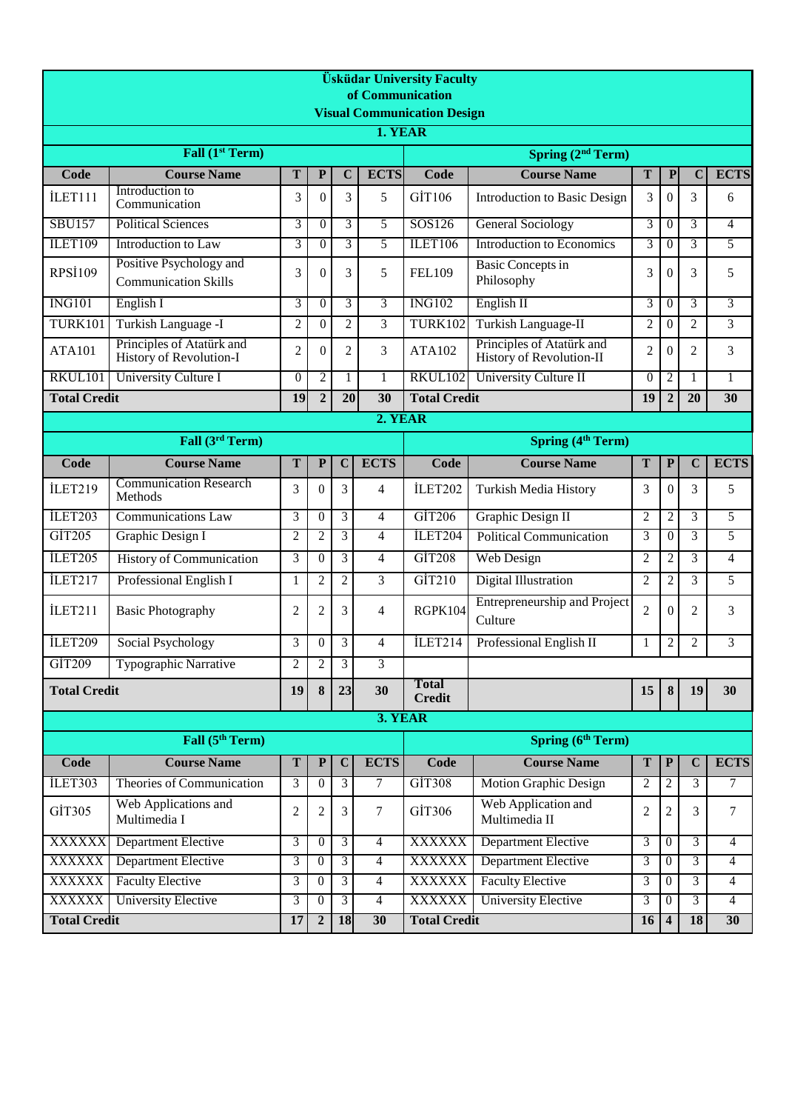| <b>Üsküdar University Faculty</b><br>of Communication |                                                        |                          |                       |                  |                  |                               |                                                       |                |                                     |                |                 |  |  |  |
|-------------------------------------------------------|--------------------------------------------------------|--------------------------|-----------------------|------------------|------------------|-------------------------------|-------------------------------------------------------|----------------|-------------------------------------|----------------|-----------------|--|--|--|
| <b>Visual Communication Design</b><br>1. YEAR         |                                                        |                          |                       |                  |                  |                               |                                                       |                |                                     |                |                 |  |  |  |
| Fall (1 <sup>st</sup> Term)<br>Spring $(2nd Term)$    |                                                        |                          |                       |                  |                  |                               |                                                       |                |                                     |                |                 |  |  |  |
| Code                                                  | <b>Course Name</b>                                     | Code                     | <b>Course Name</b>    | T                | ${\bf P}$        | $\mathbf C$                   | <b>ECTS</b>                                           |                |                                     |                |                 |  |  |  |
| İLET111                                               | Introduction to                                        | T<br>3                   | ${\bf P}$<br>$\theta$ | $\mathbf C$<br>3 | <b>ECTS</b><br>5 | GİT106                        | <b>Introduction to Basic Design</b>                   | 3              | $\theta$                            | 3              | 6               |  |  |  |
|                                                       | Communication                                          |                          |                       |                  |                  |                               |                                                       |                |                                     |                |                 |  |  |  |
| <b>SBU157</b>                                         | <b>Political Sciences</b>                              | 3                        | $\theta$              | 3                | 5                | SOS126                        | <b>General Sociology</b>                              | 3              | $\overline{0}$                      | 3              | 4               |  |  |  |
| <b>ILET109</b>                                        | Introduction to Law                                    | 3                        | $\theta$              | 3                | 5                | ILET106                       | <b>Introduction to Economics</b>                      | 3              | $\Omega$                            | 3              | 5               |  |  |  |
| <b>RPSİ109</b>                                        | Positive Psychology and<br><b>Communication Skills</b> | 3                        | $\overline{0}$        | 3                | 5                | <b>FEL109</b>                 | <b>Basic Concepts in</b><br>Philosophy                | 3              | $\theta$                            | 3              | 5               |  |  |  |
| <b>ING101</b>                                         | English I                                              | 3                        | $\theta$              | 3                | 3                | <b>ING102</b>                 | English II                                            | 3              | $\theta$                            | 3              | 3               |  |  |  |
| <b>TURK101</b>                                        | Turkish Language -I                                    | $\overline{2}$           | $\theta$              | $\overline{2}$   | $\overline{3}$   | <b>TURK102</b>                | Turkish Language-II                                   | $\overline{2}$ | $\theta$                            | $\overline{2}$ | 3               |  |  |  |
| <b>ATA101</b>                                         | Principles of Atatürk and<br>History of Revolution-I   | 2                        | $\theta$              | $\overline{2}$   | 3                | <b>ATA102</b>                 | Principles of Atatürk and<br>History of Revolution-II | $\overline{2}$ | $\Omega$                            | $\overline{2}$ | 3               |  |  |  |
| RKUL101                                               | University Culture I                                   | $\theta$                 | $\overline{2}$        | 1                | 1                | <b>RKUL102</b>                | University Culture II                                 | $\Omega$       | $\overline{2}$                      | 1              | 1               |  |  |  |
| <b>Total Credit</b>                                   |                                                        | 19                       | $\overline{2}$        | 20               | 30               | <b>Total Credit</b>           |                                                       | 19             | $\overline{2}$                      | 20             | 30              |  |  |  |
| 2. YEAR                                               |                                                        |                          |                       |                  |                  |                               |                                                       |                |                                     |                |                 |  |  |  |
|                                                       | Fall (3rd Term)                                        | <b>Spring (4th Term)</b> |                       |                  |                  |                               |                                                       |                |                                     |                |                 |  |  |  |
| Code                                                  | <b>Course Name</b>                                     | T                        | ${\bf P}$             | $\mathbf C$      | <b>ECTS</b>      | Code                          | <b>Course Name</b>                                    | T              | $\mathbf P$                         | $\mathbf C$    | <b>ECTS</b>     |  |  |  |
| İLET219                                               | <b>Communication Research</b><br>Methods               | 3                        | $\Omega$              | 3                | 4                | İLET202                       | Turkish Media History                                 | 3              | $\overline{0}$                      | 3              | 5               |  |  |  |
| ILET203                                               | <b>Communications Law</b>                              | 3                        | $\overline{0}$        | 3                | 4                | GİT206                        | Graphic Design II                                     | $\overline{2}$ | $\overline{c}$                      | 3              | 5               |  |  |  |
| GIT205                                                | Graphic Design I                                       | $\overline{2}$           | $\overline{2}$        | $\overline{3}$   | $\overline{4}$   | ILET204                       | <b>Political Communication</b>                        | $\overline{3}$ | $\overline{0}$                      | 3              | 5               |  |  |  |
| ILET205                                               | History of Communication                               | 3                        | $\overline{0}$        | 3                | 4                | GİT208                        | <b>Web Design</b>                                     | $\overline{2}$ | 2                                   | 3              | 4               |  |  |  |
| İLET217                                               | Professional English I                                 | 1                        | 2                     | $\overline{2}$   | 3                | $\overline{GIT210}$           | Digital Illustration                                  | $\overline{2}$ | $\overline{c}$                      | 3              | 5               |  |  |  |
| İLET211                                               | <b>Basic Photography</b>                               | 2                        | 2                     | 3                | 4                | RGPK104                       | Entrepreneurship and Project<br>Culture               | $\overline{2}$ | $\Omega$                            | 2              | 3               |  |  |  |
| İLET209                                               | Social Psychology                                      | 3                        | $\Omega$              | 3                | $\overline{4}$   | İLET214                       | Professional English II                               | 1              | $\overline{c}$                      | $\overline{2}$ | 3               |  |  |  |
| GİT209                                                | Typographic Narrative                                  | 2                        | 2                     | 3                | 3                |                               |                                                       |                |                                     |                |                 |  |  |  |
| <b>Total Credit</b>                                   |                                                        |                          | 8                     | 23               | 30               | <b>Total</b><br><b>Credit</b> |                                                       | 15             | 8                                   | 19             | 30              |  |  |  |
|                                                       |                                                        |                          |                       |                  | 3. YEAR          |                               |                                                       |                |                                     |                |                 |  |  |  |
| Fall (5 <sup>th</sup> Term)                           |                                                        |                          |                       |                  |                  |                               | <b>Spring (6th Term)</b>                              |                |                                     |                |                 |  |  |  |
| <b>Code</b>                                           | <b>Course Name</b>                                     | T                        | $\mathbf P$           | $\mathbf C$      | <b>ECTS</b>      | Code                          | <b>Course Name</b>                                    | T              | ${\bf P}$                           | $\mathbf C$    | <b>ECTS</b>     |  |  |  |
| ILET303                                               | Theories of Communication                              | 3                        | $\overline{0}$        | 3                | 7                | GIT308                        | <b>Motion Graphic Design</b>                          | $\overline{2}$ | 2                                   | 3              | 7               |  |  |  |
| GİT305                                                | Web Applications and<br>Multimedia I                   | 2                        | $\overline{c}$        | 3                | 7                | GİT306                        | Web Application and<br>Multimedia II                  | $\overline{2}$ | $\overline{c}$                      | 3              | $\tau$          |  |  |  |
| <b>XXXXXX</b>                                         | Department Elective                                    | 3                        | $\overline{0}$        | 3                | 4                | <b>XXXXXX</b>                 | Department Elective                                   | 3              | $\overline{0}$                      | 3              | $\overline{4}$  |  |  |  |
| <b>XXXXXX</b>                                         | <b>Department Elective</b>                             | 3                        | $\Omega$              | $\overline{3}$   | $\overline{4}$   | <b>XXXXXX</b>                 | <b>Department Elective</b>                            | 3              | $\theta$                            | 3              | 4               |  |  |  |
| <b>XXXXXX</b>                                         | <b>Faculty Elective</b>                                | $\overline{3}$           | $\overline{0}$        | $\overline{3}$   | $\overline{4}$   | <b>XXXXXX</b>                 | <b>Faculty Elective</b>                               | 3              | $\overline{0}$                      | 3              | $\overline{4}$  |  |  |  |
| XXXXXX                                                | <b>University Elective</b>                             | 3<br>17                  | $\theta$              | $\overline{3}$   | $\overline{4}$   | <b>XXXXXX</b>                 | <b>University Elective</b>                            | 3              | $\theta$<br>$\overline{\mathbf{4}}$ | 3              | $\overline{4}$  |  |  |  |
| <b>Total Credit</b>                                   |                                                        |                          | $\overline{2}$        | <b>18</b>        | 30               | <b>Total Credit</b><br>16     |                                                       |                |                                     | 18             | 30 <sup>°</sup> |  |  |  |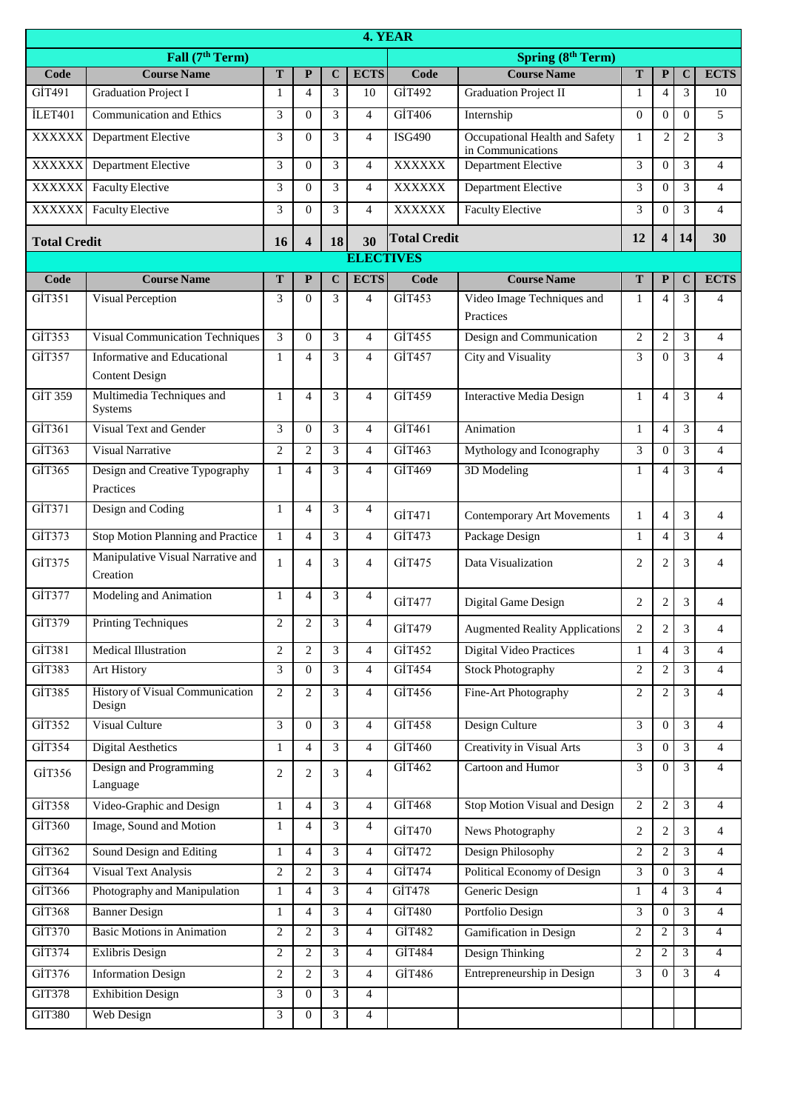|                     | 4. YEAR                                              |                |                          |                  |                |                     |                                                     |                |                |                |                |  |  |  |
|---------------------|------------------------------------------------------|----------------|--------------------------|------------------|----------------|---------------------|-----------------------------------------------------|----------------|----------------|----------------|----------------|--|--|--|
|                     | Fall (7 <sup>th</sup> Term)                          |                |                          |                  |                |                     | <b>Spring (8th Term)</b>                            |                |                |                |                |  |  |  |
| Code                | <b>Course Name</b>                                   | T              | ${\bf P}$                | $\mathbf C$      | <b>ECTS</b>    | Code                | <b>Course Name</b>                                  | T              | $\mathbf{P}$   | $\mathbf C$    | <b>ECTS</b>    |  |  |  |
| GİT491              | <b>Graduation Project I</b>                          | 1              | 4                        | 3                | 10             | GİT492              | <b>Graduation Project II</b>                        | 1              | 4              | 3              | 10             |  |  |  |
| İLET401             | Communication and Ethics                             | 3              | $\Omega$                 | 3                | $\overline{4}$ | GİT406              | Internship                                          | $\overline{0}$ | 0              | $\Omega$       | 5              |  |  |  |
| XXXXXX              | Department Elective                                  | 3              | $\theta$                 | 3                | $\overline{4}$ | <b>ISG490</b>       | Occupational Health and Safety<br>in Communications | $\mathbf{1}$   | $\overline{2}$ | $\mathfrak{2}$ | 3              |  |  |  |
| <b>XXXXXX</b>       | Department Elective                                  | 3              | $\mathbf{0}$             | 3                | $\overline{4}$ | <b>XXXXXX</b>       | <b>Department Elective</b>                          | 3              | $\Omega$       | 3              | $\overline{4}$ |  |  |  |
| <b>XXXXXX</b>       | <b>Faculty Elective</b>                              | 3              | $\mathbf{0}$             | 3                | 4              | <b>XXXXXX</b>       | Department Elective                                 | 3              | $\Omega$       | 3              | $\overline{4}$ |  |  |  |
| XXXXXX              | <b>Faculty Elective</b>                              | 3              | $\Omega$                 | 3                | $\overline{4}$ | <b>XXXXXX</b>       | <b>Faculty Elective</b>                             | 3              | $\Omega$       | 3              | $\overline{4}$ |  |  |  |
| <b>Total Credit</b> |                                                      |                | $\overline{\mathbf{4}}$  | 18               | 30             | <b>Total Credit</b> |                                                     | 12             | 4              | 14             | 30             |  |  |  |
|                     |                                                      |                |                          | <b>ELECTIVES</b> |                |                     |                                                     |                |                |                |                |  |  |  |
| Code                | <b>Course Name</b>                                   | T              | ${\bf P}$                | $\overline{C}$   | <b>ECTS</b>    | Code                | <b>Course Name</b>                                  | T              | $\mathbf{P}$   | $\mathbf C$    | <b>ECTS</b>    |  |  |  |
| GIT351              | Visual Perception                                    | 3              | $\Omega$                 | 3                | 4              | GİT453              | Video Image Techniques and<br>Practices             | 1              | 4              | 3              | 4              |  |  |  |
| GİT353              | <b>Visual Communication Techniques</b>               | 3              | $\Omega$                 | 3                | $\overline{4}$ | GİT455              | Design and Communication                            | $\overline{2}$ | $\overline{c}$ | 3              | $\overline{4}$ |  |  |  |
| GİT357              | Informative and Educational<br><b>Content Design</b> | $\mathbf{1}$   | $\overline{4}$           | 3                | $\overline{4}$ | GİT457              | City and Visuality                                  | 3              | $\overline{0}$ | 3              | $\overline{4}$ |  |  |  |
| GİT 359             | Multimedia Techniques and<br>Systems                 | $\mathbf{1}$   | $\overline{4}$           | 3                | $\overline{4}$ | GİT459              | <b>Interactive Media Design</b>                     | $\mathbf{1}$   | $\overline{4}$ | 3              | $\overline{4}$ |  |  |  |
| GIT361              | Visual Text and Gender                               | 3              | $\Omega$                 | 3                | 4              | GIT461              | Animation                                           | $\mathbf{1}$   | 4              | 3              | $\overline{4}$ |  |  |  |
| GİT363              | <b>Visual Narrative</b>                              | $\overline{c}$ | $\overline{2}$           | 3                | $\overline{4}$ | GİT463              | Mythology and Iconography                           | 3              | $\Omega$       | 3              | $\overline{4}$ |  |  |  |
| GİT365              | Design and Creative Typography<br>Practices          | 1              | $\overline{\mathcal{A}}$ | 3                | $\overline{4}$ | GİT469              | 3D Modeling                                         | 1              | 4              | 3              | $\overline{4}$ |  |  |  |
| GİT371              | Design and Coding                                    | $\mathbf{1}$   | $\overline{4}$           | 3                | $\overline{4}$ | GİT471              | <b>Contemporary Art Movements</b>                   | $\mathbf{1}$   | $\overline{4}$ | 3              | $\overline{4}$ |  |  |  |
| GİT373              | Stop Motion Planning and Practice                    | $\mathbf{1}$   | $\overline{4}$           | 3                | $\overline{4}$ | GİT473              | Package Design                                      | $\mathbf{1}$   | $\overline{4}$ | 3              | $\overline{4}$ |  |  |  |
| GİT375              | Manipulative Visual Narrative and<br>Creation        | 1              | $\overline{4}$           | 3                | $\overline{4}$ | GİT475              | Data Visualization                                  | $\overline{c}$ | 2              | 3              | $\overline{4}$ |  |  |  |
| GİT377              | Modeling and Animation                               | $\mathbf{1}$   | $\overline{4}$           | 3                | $\overline{4}$ | GİT477              | Digital Game Design                                 | $\overline{2}$ | $\overline{c}$ | 3              | 4              |  |  |  |
| GİT379              | <b>Printing Techniques</b>                           | 2              | 2                        | 3                | 4              | GİT479              | <b>Augmented Reality Applications</b>               | $\overline{c}$ | $\overline{c}$ | 3              | $\overline{4}$ |  |  |  |
| GİT381              | <b>Medical Illustration</b>                          | $\overline{c}$ | $\overline{2}$           | $\overline{3}$   | $\overline{4}$ | GİT452              | <b>Digital Video Practices</b>                      | $\mathbf{1}$   | $\overline{4}$ | 3              | $\overline{4}$ |  |  |  |
| GİT383              | Art History                                          | 3              | $\overline{0}$           | 3                | $\overline{4}$ | GİT454              | <b>Stock Photography</b>                            | $\overline{c}$ | 2              | 3              | $\overline{4}$ |  |  |  |
| GİT385              | History of Visual Communication<br>Design            | $\overline{c}$ | $\overline{c}$           | 3                | $\overline{4}$ | GİT456              | Fine-Art Photography                                | $\overline{c}$ | 2              | 3              | $\overline{4}$ |  |  |  |
| GİT352              | Visual Culture                                       | 3              | $\mathbf{0}$             | 3                | $\overline{4}$ | GİT458              | Design Culture                                      | 3              | $\overline{0}$ | 3              | $\overline{4}$ |  |  |  |
| GİT354              | <b>Digital Aesthetics</b>                            | 1              | 4                        | 3                | $\overline{4}$ | GİT460              | <b>Creativity in Visual Arts</b>                    | 3              | $\Omega$       | 3              | $\overline{4}$ |  |  |  |
| GİT356              | Design and Programming<br>Language                   | $\overline{c}$ | $\overline{c}$           | 3                | $\overline{4}$ | GİT462              | Cartoon and Humor                                   | $\overline{3}$ | $\overline{0}$ | $\overline{3}$ | $\overline{4}$ |  |  |  |
| GİT358              | Video-Graphic and Design                             | $\mathbf{1}$   | $\overline{4}$           | 3                | $\overline{4}$ | GİT468              | Stop Motion Visual and Design                       | $\overline{c}$ | $\overline{c}$ | 3              | $\overline{4}$ |  |  |  |
| GİT360              | Image, Sound and Motion                              | $\mathbf{1}$   | $\overline{4}$           | 3                | $\overline{4}$ | GİT470              | News Photography                                    | $\overline{2}$ | 2              | 3              | $\overline{4}$ |  |  |  |
| GİT362              | Sound Design and Editing                             | $\mathbf{1}$   | $\overline{4}$           | 3                | $\overline{4}$ | GİT472              | Design Philosophy                                   | 2              | 2              | 3              | $\overline{4}$ |  |  |  |
| GİT364              | <b>Visual Text Analysis</b>                          | $\overline{2}$ | $\overline{2}$           | 3                | $\overline{4}$ | GİT474              | Political Economy of Design                         | 3              | $\mathbf{0}$   | 3              | $\overline{4}$ |  |  |  |
| GİT366              | Photography and Manipulation                         | 1              | $\overline{4}$           | 3                | $\overline{4}$ | GİT478              | Generic Design                                      | $\mathbf{1}$   | $\overline{4}$ | 3              | 4              |  |  |  |
| GİT368              | <b>Banner Design</b>                                 | $\mathbf{1}$   | $\overline{4}$           | $\overline{3}$   | $\overline{4}$ | GİT480              | Portfolio Design                                    | 3              | $\mathbf{0}$   | 3              | $\overline{4}$ |  |  |  |
| GİT370              | <b>Basic Motions in Animation</b>                    | $\overline{c}$ | $\overline{c}$           | 3                | $\overline{4}$ | GİT482              | Gamification in Design                              | $\overline{c}$ | $\overline{c}$ | 3              | $\overline{4}$ |  |  |  |
| GİT374              | <b>Exlibris Design</b>                               | $\overline{c}$ | $\overline{2}$           | 3                | $\overline{4}$ | GİT484              | Design Thinking                                     | 2              | 2              | 3              | $\overline{4}$ |  |  |  |
| GİT376              | <b>Information Design</b>                            | $\overline{c}$ | $\overline{2}$           | 3                | $\overline{4}$ | GİT486              | Entrepreneurship in Design                          | 3              | $\mathbf{0}$   | 3              | $\overline{4}$ |  |  |  |
| <b>GIT378</b>       | <b>Exhibition Design</b>                             | 3              | $\overline{0}$           | 3                | 4              |                     |                                                     |                |                |                |                |  |  |  |
| <b>GIT380</b>       | Web Design                                           | 3              | $\boldsymbol{0}$         | 3                | $\overline{4}$ |                     |                                                     |                |                |                |                |  |  |  |